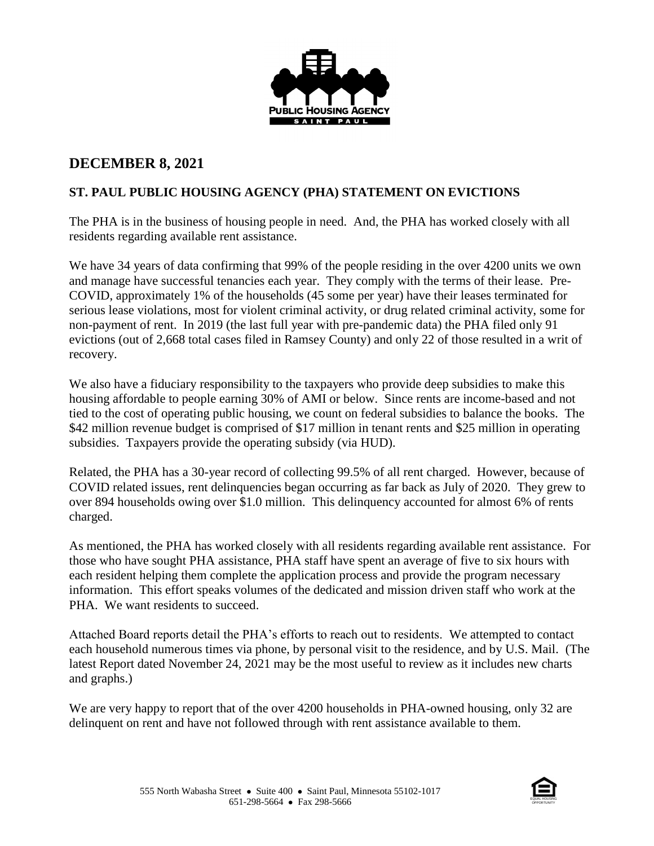

## **DECEMBER 8, 2021**

## **ST. PAUL PUBLIC HOUSING AGENCY (PHA) STATEMENT ON EVICTIONS**

The PHA is in the business of housing people in need. And, the PHA has worked closely with all residents regarding available rent assistance.

We have 34 years of data confirming that 99% of the people residing in the over 4200 units we own and manage have successful tenancies each year. They comply with the terms of their lease. Pre-COVID, approximately 1% of the households (45 some per year) have their leases terminated for serious lease violations, most for violent criminal activity, or drug related criminal activity, some for non-payment of rent. In 2019 (the last full year with pre-pandemic data) the PHA filed only 91 evictions (out of 2,668 total cases filed in Ramsey County) and only 22 of those resulted in a writ of recovery.

We also have a fiduciary responsibility to the taxpayers who provide deep subsidies to make this housing affordable to people earning 30% of AMI or below. Since rents are income-based and not tied to the cost of operating public housing, we count on federal subsidies to balance the books. The \$42 million revenue budget is comprised of \$17 million in tenant rents and \$25 million in operating subsidies. Taxpayers provide the operating subsidy (via HUD).

Related, the PHA has a 30-year record of collecting 99.5% of all rent charged. However, because of COVID related issues, rent delinquencies began occurring as far back as July of 2020. They grew to over 894 households owing over \$1.0 million. This delinquency accounted for almost 6% of rents charged.

As mentioned, the PHA has worked closely with all residents regarding available rent assistance. For those who have sought PHA assistance, PHA staff have spent an average of five to six hours with each resident helping them complete the application process and provide the program necessary information. This effort speaks volumes of the dedicated and mission driven staff who work at the PHA. We want residents to succeed.

Attached Board reports detail the PHA's efforts to reach out to residents. We attempted to contact each household numerous times via phone, by personal visit to the residence, and by U.S. Mail. (The latest Report dated November 24, 2021 may be the most useful to review as it includes new charts and graphs.)

We are very happy to report that of the over 4200 households in PHA-owned housing, only 32 are delinquent on rent and have not followed through with rent assistance available to them.

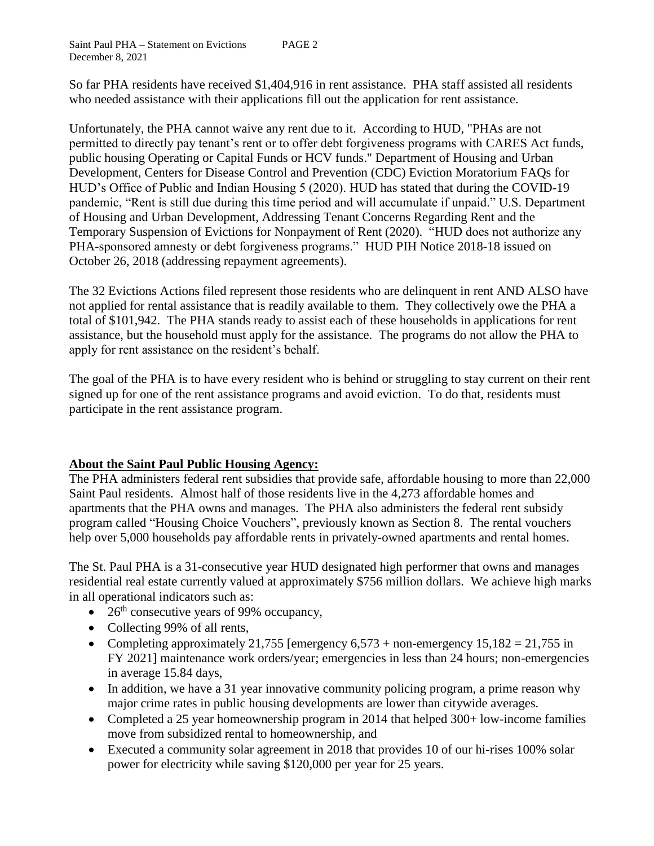So far PHA residents have received \$1,404,916 in rent assistance. PHA staff assisted all residents who needed assistance with their applications fill out the application for rent assistance.

Unfortunately, the PHA cannot waive any rent due to it. According to HUD, "PHAs are not permitted to directly pay tenant's rent or to offer debt forgiveness programs with CARES Act funds, public housing Operating or Capital Funds or HCV funds." Department of Housing and Urban Development, Centers for Disease Control and Prevention (CDC) Eviction Moratorium FAQs for HUD's Office of Public and Indian Housing 5 (2020). HUD has stated that during the COVID-19 pandemic, "Rent is still due during this time period and will accumulate if unpaid." U.S. Department of Housing and Urban Development, Addressing Tenant Concerns Regarding Rent and the Temporary Suspension of Evictions for Nonpayment of Rent (2020). "HUD does not authorize any PHA-sponsored amnesty or debt forgiveness programs." HUD PIH Notice 2018-18 issued on October 26, 2018 (addressing repayment agreements).

The 32 Evictions Actions filed represent those residents who are delinquent in rent AND ALSO have not applied for rental assistance that is readily available to them. They collectively owe the PHA a total of \$101,942. The PHA stands ready to assist each of these households in applications for rent assistance, but the household must apply for the assistance. The programs do not allow the PHA to apply for rent assistance on the resident's behalf.

The goal of the PHA is to have every resident who is behind or struggling to stay current on their rent signed up for one of the rent assistance programs and avoid eviction. To do that, residents must participate in the rent assistance program.

## **About the Saint Paul Public Housing Agency:**

The PHA administers federal rent subsidies that provide safe, affordable housing to more than 22,000 Saint Paul residents. Almost half of those residents live in the 4,273 affordable homes and apartments that the PHA owns and manages. The PHA also administers the federal rent subsidy program called "Housing Choice Vouchers", previously known as Section 8. The rental vouchers help over 5,000 households pay affordable rents in privately-owned apartments and rental homes.

The St. Paul PHA is a 31-consecutive year HUD designated high performer that owns and manages residential real estate currently valued at approximately \$756 million dollars. We achieve high marks in all operational indicators such as:

- $\bullet$  26<sup>th</sup> consecutive years of 99% occupancy,
- Collecting 99% of all rents,
- Completing approximately 21,755 [emergency  $6,573 +$  non-emergency  $15,182 = 21,755$  in FY 2021] maintenance work orders/year; emergencies in less than 24 hours; non-emergencies in average 15.84 days,
- In addition, we have a 31 year innovative community policing program, a prime reason why major crime rates in public housing developments are lower than citywide averages.
- Completed a 25 year homeownership program in 2014 that helped 300+ low-income families move from subsidized rental to homeownership, and
- Executed a community solar agreement in 2018 that provides 10 of our hi-rises 100% solar power for electricity while saving \$120,000 per year for 25 years.